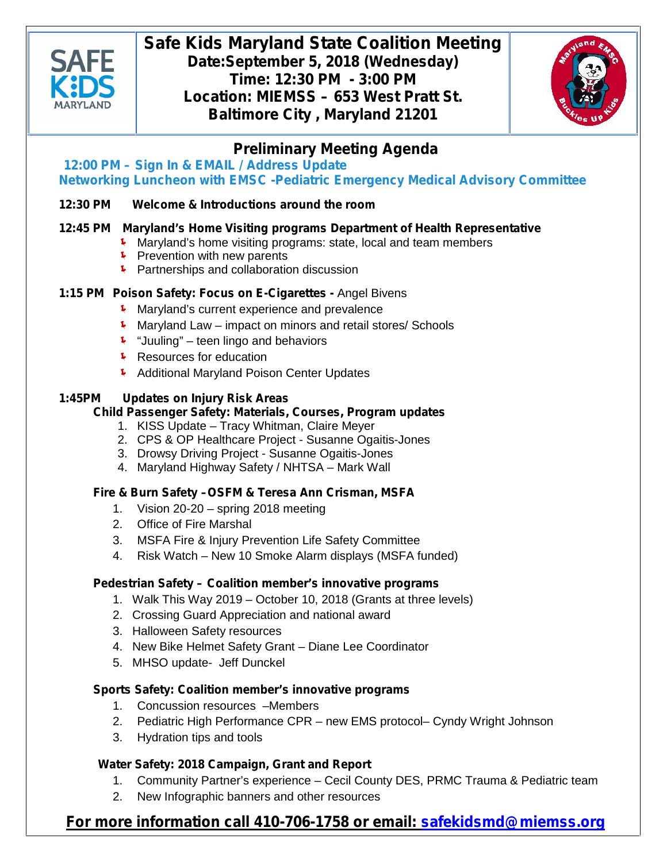

# **Safe Kids Maryland State Coalition Meeting Date:September 5, 2018 (Wednesday) Time: 12:30 PM - 3:00 PM Location: MIEMSS – 653 West Pratt St. Baltimore City , Maryland 21201**



# **Preliminary Meeting Agenda**

**12:00 PM – Sign In & EMAIL / Address Update** *Networking Luncheon with EMSC -Pediatric Emergency Medical Advisory Committee*

# **12:30 PM Welcome & Introductions around the room**

## **12:45 PM Maryland's Home Visiting programs** *Department of Health Representative*

- Maryland's home visiting programs: state, local and team members
- $\sqrt{\phantom{a}}$  Prevention with new parents
- Partnerships and collaboration discussion

## **1:15 PM Poison Safety: Focus on E-Cigarettes -** Angel Bivens

- Maryland's current experience and prevalence
- Maryland Law impact on minors and retail stores/ Schools
- $\sqrt{\phantom{a}}$  "Juuling" teen lingo and behaviors
- $\sqrt{\phantom{a}}$  Resources for education
- **Additional Maryland Poison Center Updates**

### **1:45PM Updates on Injury Risk Areas**

#### **Child Passenger Safety: Materials, Courses, Program updates**

- 1. KISS Update Tracy Whitman, Claire Meyer
- 2. CPS & OP Healthcare Project Susanne Ogaitis-Jones
- 3. Drowsy Driving Project Susanne Ogaitis-Jones
- 4. Maryland Highway Safety / NHTSA Mark Wall

## **Fire & Burn Safety –OSFM & Teresa Ann Crisman, MSFA**

- 1. Vision 20-20 spring 2018 meeting
- 2. Office of Fire Marshal
- 3. MSFA Fire & Injury Prevention Life Safety Committee
- 4. Risk Watch New 10 Smoke Alarm displays (MSFA funded)

#### **Pedestrian Safety – Coalition member's innovative programs**

- 1. Walk This Way 2019 October 10, 2018 (Grants at three levels)
- 2. Crossing Guard Appreciation and national award
- 3. Halloween Safety resources
- 4. New Bike Helmet Safety Grant Diane Lee Coordinator
- 5. MHSO update- Jeff Dunckel

#### **Sports Safety: Coalition member's innovative programs**

- 1. Concussion resources –Members
- 2. Pediatric High Performance CPR new EMS protocol– Cyndy Wright Johnson
- 3. Hydration tips and tools

#### **Water Safety: 2018 Campaign, Grant and Report**

- 1. Community Partner's experience Cecil County DES, PRMC Trauma & Pediatric team
- 2. New Infographic banners and other resources

# **For more information call 410-706-1758 or email: safekidsmd@miemss.org**